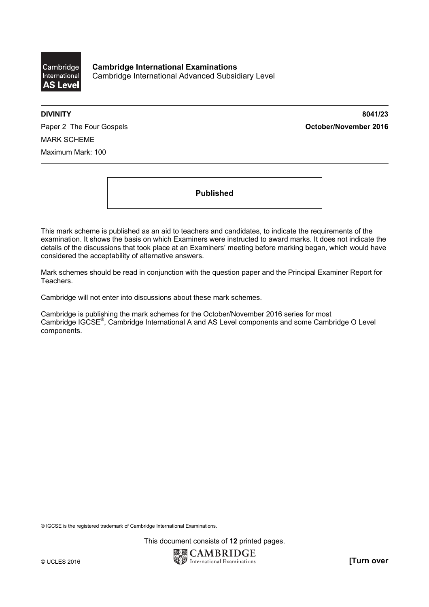

**Cambridge International Examinations**  Cambridge International Advanced Subsidiary Level

**DIVINITY 8041/23** 

Paper 2 The Four Gospels **Contact Act Contact Act Contact Act October/November 2016** MARK SCHEME Maximum Mark: 100

**Published** 

This mark scheme is published as an aid to teachers and candidates, to indicate the requirements of the examination. It shows the basis on which Examiners were instructed to award marks. It does not indicate the details of the discussions that took place at an Examiners' meeting before marking began, which would have considered the acceptability of alternative answers.

Mark schemes should be read in conjunction with the question paper and the Principal Examiner Report for Teachers.

Cambridge will not enter into discussions about these mark schemes.

Cambridge is publishing the mark schemes for the October/November 2016 series for most Cambridge IGCSE®, Cambridge International A and AS Level components and some Cambridge O Level components.

® IGCSE is the registered trademark of Cambridge International Examinations.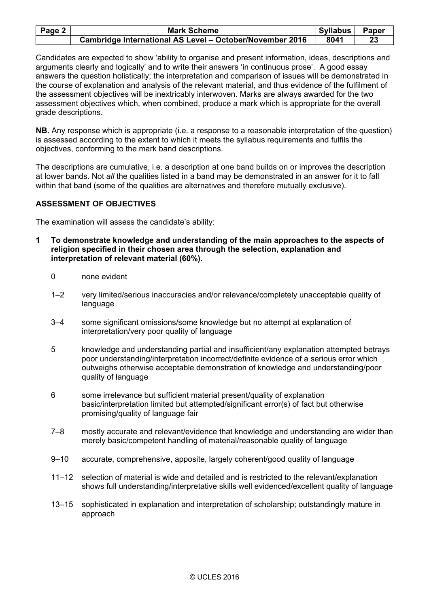| Page 2 $ $ | <b>Mark Scheme</b>                                       | <b>Syllabus</b> | <b>Paper</b> |
|------------|----------------------------------------------------------|-----------------|--------------|
|            | Cambridge International AS Level - October/November 2016 | 8041            |              |

Candidates are expected to show 'ability to organise and present information, ideas, descriptions and arguments clearly and logically' and to write their answers 'in continuous prose'. A good essay answers the question holistically; the interpretation and comparison of issues will be demonstrated in the course of explanation and analysis of the relevant material, and thus evidence of the fulfilment of the assessment objectives will be inextricably interwoven. Marks are always awarded for the two assessment objectives which, when combined, produce a mark which is appropriate for the overall grade descriptions.

**NB.** Any response which is appropriate (i.e. a response to a reasonable interpretation of the question) is assessed according to the extent to which it meets the syllabus requirements and fulfils the objectives, conforming to the mark band descriptions.

The descriptions are cumulative, i.e. a description at one band builds on or improves the description at lower bands. Not *all* the qualities listed in a band may be demonstrated in an answer for it to fall within that band (some of the qualities are alternatives and therefore mutually exclusive).

# **ASSESSMENT OF OBJECTIVES**

The examination will assess the candidate's ability:

- **1 To demonstrate knowledge and understanding of the main approaches to the aspects of religion specified in their chosen area through the selection, explanation and interpretation of relevant material (60%).** 
	- 0 none evident
	- 1–2 very limited/serious inaccuracies and/or relevance/completely unacceptable quality of language
	- 3–4 some significant omissions/some knowledge but no attempt at explanation of interpretation/very poor quality of language
	- 5 knowledge and understanding partial and insufficient/any explanation attempted betrays poor understanding/interpretation incorrect/definite evidence of a serious error which outweighs otherwise acceptable demonstration of knowledge and understanding/poor quality of language
	- 6 some irrelevance but sufficient material present/quality of explanation basic/interpretation limited but attempted/significant error(s) of fact but otherwise promising/quality of language fair
	- 7–8 mostly accurate and relevant/evidence that knowledge and understanding are wider than merely basic/competent handling of material/reasonable quality of language
	- 9–10 accurate, comprehensive, apposite, largely coherent/good quality of language
	- 11–12 selection of material is wide and detailed and is restricted to the relevant/explanation shows full understanding/interpretative skills well evidenced/excellent quality of language
	- 13–15 sophisticated in explanation and interpretation of scholarship; outstandingly mature in approach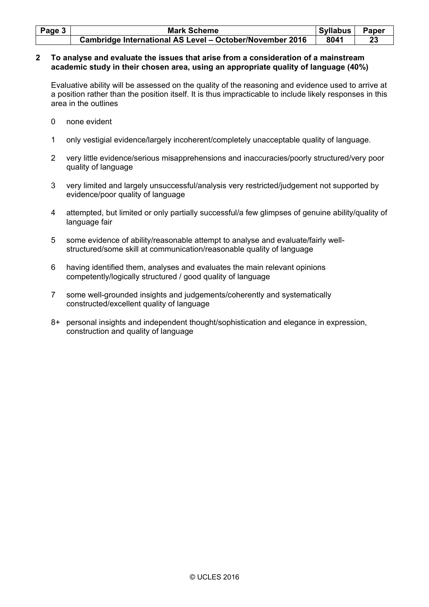| Page $3 \mid$ | <b>Mark Scheme</b>                                              | <b>Syllabus</b> | <b>Paper</b> |
|---------------|-----------------------------------------------------------------|-----------------|--------------|
|               | <b>Cambridge International AS Level - October/November 2016</b> | 8041            |              |

#### **2 To analyse and evaluate the issues that arise from a consideration of a mainstream academic study in their chosen area, using an appropriate quality of language (40%)**

 Evaluative ability will be assessed on the quality of the reasoning and evidence used to arrive at a position rather than the position itself. It is thus impracticable to include likely responses in this area in the outlines

- 0 none evident
- 1 only vestigial evidence/largely incoherent/completely unacceptable quality of language.
- 2 very little evidence/serious misapprehensions and inaccuracies/poorly structured/very poor quality of language
- 3 very limited and largely unsuccessful/analysis very restricted/judgement not supported by evidence/poor quality of language
- 4 attempted, but limited or only partially successful/a few glimpses of genuine ability/quality of language fair
- 5 some evidence of ability/reasonable attempt to analyse and evaluate/fairly wellstructured/some skill at communication/reasonable quality of language
- 6 having identified them, analyses and evaluates the main relevant opinions competently/logically structured / good quality of language
- 7 some well-grounded insights and judgements/coherently and systematically constructed/excellent quality of language
- 8+ personal insights and independent thought/sophistication and elegance in expression, construction and quality of language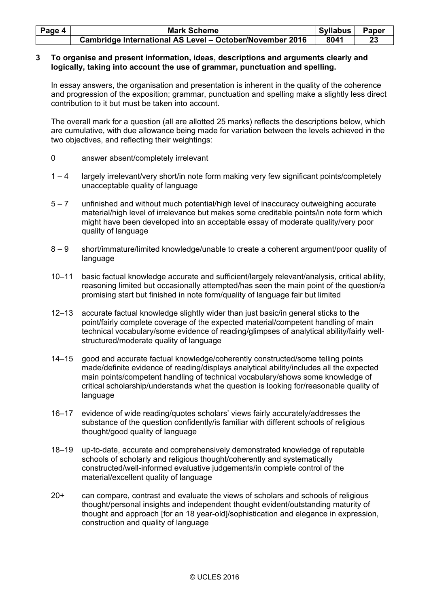| Page 4 | <b>Mark Scheme</b>                                       | Syllabus | Paper |
|--------|----------------------------------------------------------|----------|-------|
|        | Cambridge International AS Level - October/November 2016 | 8041     |       |

#### **3 To organise and present information, ideas, descriptions and arguments clearly and logically, taking into account the use of grammar, punctuation and spelling.**

In essay answers, the organisation and presentation is inherent in the quality of the coherence and progression of the exposition; grammar, punctuation and spelling make a slightly less direct contribution to it but must be taken into account.

 The overall mark for a question (all are allotted 25 marks) reflects the descriptions below, which are cumulative, with due allowance being made for variation between the levels achieved in the two objectives, and reflecting their weightings:

- 0 answer absent/completely irrelevant
- 1 4 largely irrelevant/very short/in note form making very few significant points/completely unacceptable quality of language
- 5 7 unfinished and without much potential/high level of inaccuracy outweighing accurate material/high level of irrelevance but makes some creditable points/in note form which might have been developed into an acceptable essay of moderate quality/very poor quality of language
- 8 9 short/immature/limited knowledge/unable to create a coherent argument/poor quality of language
- 10–11 basic factual knowledge accurate and sufficient/largely relevant/analysis, critical ability, reasoning limited but occasionally attempted/has seen the main point of the question/a promising start but finished in note form/quality of language fair but limited
- 12–13 accurate factual knowledge slightly wider than just basic/in general sticks to the point/fairly complete coverage of the expected material/competent handling of main technical vocabulary/some evidence of reading/glimpses of analytical ability/fairly wellstructured/moderate quality of language
- 14–15 good and accurate factual knowledge/coherently constructed/some telling points made/definite evidence of reading/displays analytical ability/includes all the expected main points/competent handling of technical vocabulary/shows some knowledge of critical scholarship/understands what the question is looking for/reasonable quality of language
- 16–17 evidence of wide reading/quotes scholars' views fairly accurately/addresses the substance of the question confidently/is familiar with different schools of religious thought/good quality of language
- 18–19 up-to-date, accurate and comprehensively demonstrated knowledge of reputable schools of scholarly and religious thought/coherently and systematically constructed/well-informed evaluative judgements/in complete control of the material/excellent quality of language
- 20+ can compare, contrast and evaluate the views of scholars and schools of religious thought/personal insights and independent thought evident/outstanding maturity of thought and approach [for an 18 year-old]/sophistication and elegance in expression, construction and quality of language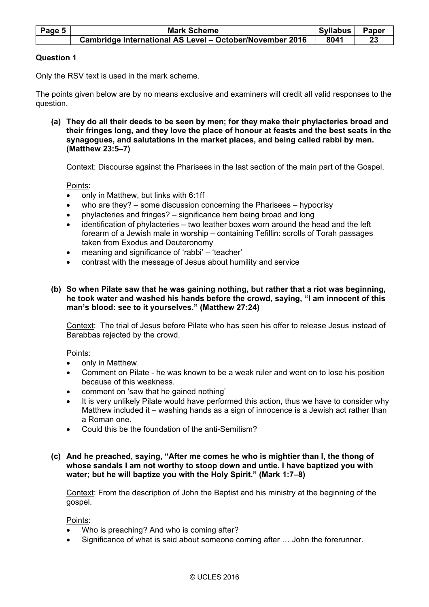| Page 5 | <b>Mark Scheme</b>                                              | <b>Syllabus</b> | Paper |
|--------|-----------------------------------------------------------------|-----------------|-------|
|        | <b>Cambridge International AS Level - October/November 2016</b> | 8041            |       |

# **Question 1**

Only the RSV text is used in the mark scheme.

The points given below are by no means exclusive and examiners will credit all valid responses to the question.

 **(a) They do all their deeds to be seen by men; for they make their phylacteries broad and their fringes long, and they love the place of honour at feasts and the best seats in the synagogues, and salutations in the market places, and being called rabbi by men. (Matthew 23:5–7)**

Context: Discourse against the Pharisees in the last section of the main part of the Gospel.

Points:

- only in Matthew, but links with 6:1ff
- who are they? some discussion concerning the Pharisees hypocrisy
- phylacteries and fringes? significance hem being broad and long
- identification of phylacteries two leather boxes worn around the head and the left forearm of a Jewish male in worship – containing Tefillin: scrolls of Torah passages taken from Exodus and Deuteronomy
- meaning and significance of 'rabbi' 'teacher'
- contrast with the message of Jesus about humility and service
- **(b) So when Pilate saw that he was gaining nothing, but rather that a riot was beginning, he took water and washed his hands before the crowd, saying, "I am innocent of this man's blood: see to it yourselves." (Matthew 27:24)**

 Context: The trial of Jesus before Pilate who has seen his offer to release Jesus instead of Barabbas rejected by the crowd.

Points:

- only in Matthew.
- Comment on Pilate he was known to be a weak ruler and went on to lose his position because of this weakness.
- comment on 'saw that he gained nothing'
- It is very unlikely Pilate would have performed this action, thus we have to consider why Matthew included it – washing hands as a sign of innocence is a Jewish act rather than a Roman one.
- Could this be the foundation of the anti-Semitism?

#### **(c) And he preached, saying, "After me comes he who is mightier than I, the thong of whose sandals I am not worthy to stoop down and untie. I have baptized you with water; but he will baptize you with the Holy Spirit." (Mark 1:7–8)**

 Context: From the description of John the Baptist and his ministry at the beginning of the gospel.

Points:

- Who is preaching? And who is coming after?
- Significance of what is said about someone coming after ... John the forerunner.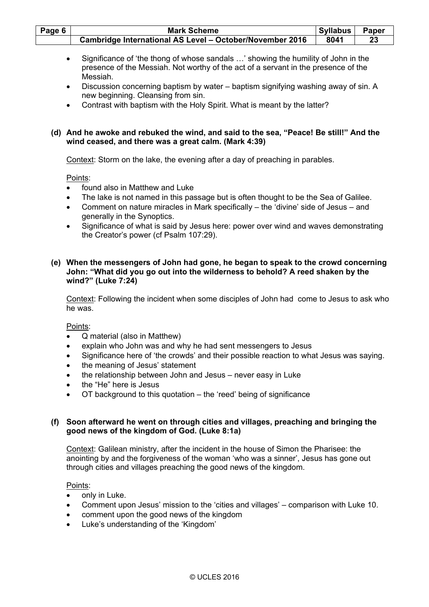| Page 6                                                        | <b>Mark Scheme</b>                                                                                                                                                                                                                                                                                                                                                                                    | <b>Syllabus</b> | Paper |
|---------------------------------------------------------------|-------------------------------------------------------------------------------------------------------------------------------------------------------------------------------------------------------------------------------------------------------------------------------------------------------------------------------------------------------------------------------------------------------|-----------------|-------|
|                                                               | Cambridge International AS Level - October/November 2016                                                                                                                                                                                                                                                                                                                                              | 8041            | 23    |
| $\bullet$<br>$\bullet$<br>$\bullet$                           | Significance of 'the thong of whose sandals ' showing the humility of John in the<br>presence of the Messiah. Not worthy of the act of a servant in the presence of the<br>Messiah.<br>Discussion concerning baptism by water - baptism signifying washing away of sin. A<br>new beginning. Cleansing from sin.<br>Contrast with baptism with the Holy Spirit. What is meant by the latter?           |                 |       |
|                                                               | (d) And he awoke and rebuked the wind, and said to the sea, "Peace! Be still!" And the<br>wind ceased, and there was a great calm. (Mark 4:39)                                                                                                                                                                                                                                                        |                 |       |
|                                                               | Context: Storm on the lake, the evening after a day of preaching in parables.                                                                                                                                                                                                                                                                                                                         |                 |       |
| ٠<br>$\bullet$<br>$\bullet$                                   | Points:<br>found also in Matthew and Luke<br>The lake is not named in this passage but is often thought to be the Sea of Galilee.<br>Comment on nature miracles in Mark specifically – the 'divine' side of Jesus – and<br>generally in the Synoptics.<br>Significance of what is said by Jesus here: power over wind and waves demonstrating<br>the Creator's power (cf Psalm 107:29).               |                 |       |
|                                                               | (e) When the messengers of John had gone, he began to speak to the crowd concerning<br>John: "What did you go out into the wilderness to behold? A reed shaken by the<br>wind?" (Luke 7:24)                                                                                                                                                                                                           |                 |       |
|                                                               | Context: Following the incident when some disciples of John had come to Jesus to ask who<br>he was.                                                                                                                                                                                                                                                                                                   |                 |       |
| $\bullet$<br>$\bullet$<br>$\bullet$<br>$\bullet$<br>$\bullet$ | Points:<br>Q material (also in Matthew)<br>explain who John was and why he had sent messengers to Jesus<br>Significance here of 'the crowds' and their possible reaction to what Jesus was saying.<br>the meaning of Jesus' statement<br>the relationship between John and Jesus - never easy in Luke<br>the "He" here is Jesus<br>OT background to this quotation – the 'reed' being of significance |                 |       |
| (f)                                                           | Soon afterward he went on through cities and villages, preaching and bringing the<br>good news of the kingdom of God. (Luke 8:1a)                                                                                                                                                                                                                                                                     |                 |       |
|                                                               | Context: Galilean ministry, after the incident in the house of Simon the Pharisee: the<br>anointing by and the forgiveness of the woman 'who was a sinner', Jesus has gone out<br>through cities and villages preaching the good news of the kingdom.                                                                                                                                                 |                 |       |
|                                                               | Points:<br>only in Luke.                                                                                                                                                                                                                                                                                                                                                                              |                 |       |

- Comment upon Jesus' mission to the 'cities and villages' comparison with Luke 10.
- comment upon the good news of the kingdom
- Luke's understanding of the 'Kingdom'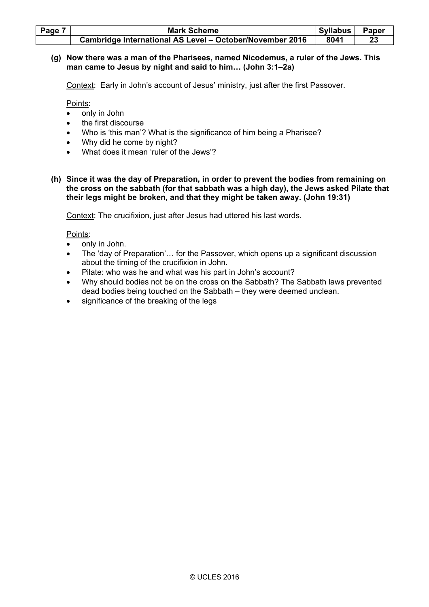| Page 7 | <b>Mark Scheme</b>                                       | <b>Syllabus</b> | Paper |
|--------|----------------------------------------------------------|-----------------|-------|
|        | Cambridge International AS Level - October/November 2016 | 8041            |       |

# **(g) Now there was a man of the Pharisees, named Nicodemus, a ruler of the Jews. This man came to Jesus by night and said to him… (John 3:1–2a)**

Context: Early in John's account of Jesus' ministry, just after the first Passover.

Points:

- only in John
- the first discourse
- Who is 'this man'? What is the significance of him being a Pharisee?
- Why did he come by night?
- What does it mean 'ruler of the Jews'?
- **(h) Since it was the day of Preparation, in order to prevent the bodies from remaining on the cross on the sabbath (for that sabbath was a high day), the Jews asked Pilate that their legs might be broken, and that they might be taken away. (John 19:31)**

Context: The crucifixion, just after Jesus had uttered his last words.

Points:

- only in John.
- The 'day of Preparation'… for the Passover, which opens up a significant discussion about the timing of the crucifixion in John.
- Pilate: who was he and what was his part in John's account?
- Why should bodies not be on the cross on the Sabbath? The Sabbath laws prevented dead bodies being touched on the Sabbath – they were deemed unclean.
- significance of the breaking of the legs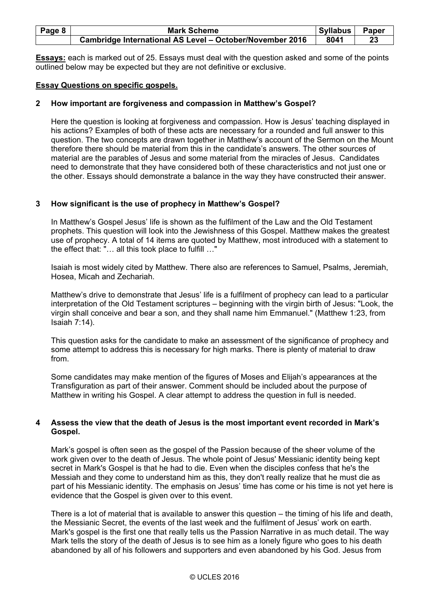| Page 8 | <b>Mark Scheme</b>                                       | <b>Syllabus</b> | Paper |
|--------|----------------------------------------------------------|-----------------|-------|
|        | Cambridge International AS Level - October/November 2016 | 8041            |       |

**Essays:** each is marked out of 25. Essays must deal with the question asked and some of the points outlined below may be expected but they are not definitive or exclusive.

### **Essay Questions on specific gospels.**

# **2 How important are forgiveness and compassion in Matthew's Gospel?**

 Here the question is looking at forgiveness and compassion. How is Jesus' teaching displayed in his actions? Examples of both of these acts are necessary for a rounded and full answer to this question. The two concepts are drawn together in Matthew's account of the Sermon on the Mount therefore there should be material from this in the candidate's answers. The other sources of material are the parables of Jesus and some material from the miracles of Jesus. Candidates need to demonstrate that they have considered both of these characteristics and not just one or the other. Essays should demonstrate a balance in the way they have constructed their answer.

### **3 How significant is the use of prophecy in Matthew's Gospel?**

 In Matthew's Gospel Jesus' life is shown as the fulfilment of the Law and the Old Testament prophets. This question will look into the Jewishness of this Gospel. Matthew makes the greatest use of prophecy. A total of 14 items are quoted by Matthew, most introduced with a statement to the effect that: "… all this took place to fulfill …"

 Isaiah is most widely cited by Matthew. There also are references to Samuel, Psalms, Jeremiah, Hosea, Micah and Zechariah.

 Matthew's drive to demonstrate that Jesus' life is a fulfilment of prophecy can lead to a particular interpretation of the Old Testament scriptures – beginning with the virgin birth of Jesus: "Look, the virgin shall conceive and bear a son, and they shall name him Emmanuel." (Matthew 1:23, from Isaiah 7:14).

 This question asks for the candidate to make an assessment of the significance of prophecy and some attempt to address this is necessary for high marks. There is plenty of material to draw from.

 Some candidates may make mention of the figures of Moses and Elijah's appearances at the Transfiguration as part of their answer. Comment should be included about the purpose of Matthew in writing his Gospel. A clear attempt to address the question in full is needed.

### **4 Assess the view that the death of Jesus is the most important event recorded in Mark's Gospel.**

 Mark's gospel is often seen as the gospel of the Passion because of the sheer volume of the work given over to the death of Jesus. The whole point of Jesus' Messianic identity being kept secret in Mark's Gospel is that he had to die. Even when the disciples confess that he's the Messiah and they come to understand him as this, they don't really realize that he must die as part of his Messianic identity. The emphasis on Jesus' time has come or his time is not yet here is evidence that the Gospel is given over to this event.

 There is a lot of material that is available to answer this question – the timing of his life and death, the Messianic Secret, the events of the last week and the fulfilment of Jesus' work on earth. Mark's gospel is the first one that really tells us the Passion Narrative in as much detail. The way Mark tells the story of the death of Jesus is to see him as a lonely figure who goes to his death abandoned by all of his followers and supporters and even abandoned by his God. Jesus from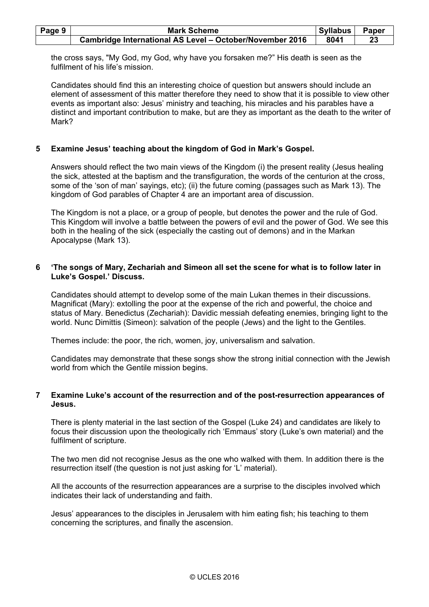| Page 9 | <b>Mark Scheme</b>                                              | Syllabus | <b>Paper</b> |
|--------|-----------------------------------------------------------------|----------|--------------|
|        | <b>Cambridge International AS Level - October/November 2016</b> | 8041     |              |

the cross says, "My God, my God, why have you forsaken me?" His death is seen as the fulfilment of his life's mission.

 Candidates should find this an interesting choice of question but answers should include an element of assessment of this matter therefore they need to show that it is possible to view other events as important also: Jesus' ministry and teaching, his miracles and his parables have a distinct and important contribution to make, but are they as important as the death to the writer of Mark?

### **5 Examine Jesus' teaching about the kingdom of God in Mark's Gospel.**

 Answers should reflect the two main views of the Kingdom (i) the present reality (Jesus healing the sick, attested at the baptism and the transfiguration, the words of the centurion at the cross, some of the 'son of man' sayings, etc); (ii) the future coming (passages such as Mark 13). The kingdom of God parables of Chapter 4 are an important area of discussion.

 The Kingdom is not a place, or a group of people, but denotes the power and the rule of God. This Kingdom will involve a battle between the powers of evil and the power of God. We see this both in the healing of the sick (especially the casting out of demons) and in the Markan Apocalypse (Mark 13).

### **6 'The songs of Mary, Zechariah and Simeon all set the scene for what is to follow later in Luke's Gospel.' Discuss.**

 Candidates should attempt to develop some of the main Lukan themes in their discussions. Magnificat (Mary): extolling the poor at the expense of the rich and powerful, the choice and status of Mary. Benedictus (Zechariah): Davidic messiah defeating enemies, bringing light to the world. Nunc Dimittis (Simeon): salvation of the people (Jews) and the light to the Gentiles.

Themes include: the poor, the rich, women, joy, universalism and salvation.

 Candidates may demonstrate that these songs show the strong initial connection with the Jewish world from which the Gentile mission begins.

### **7 Examine Luke's account of the resurrection and of the post-resurrection appearances of Jesus.**

 There is plenty material in the last section of the Gospel (Luke 24) and candidates are likely to focus their discussion upon the theologically rich 'Emmaus' story (Luke's own material) and the fulfilment of scripture.

 The two men did not recognise Jesus as the one who walked with them. In addition there is the resurrection itself (the question is not just asking for 'L' material).

 All the accounts of the resurrection appearances are a surprise to the disciples involved which indicates their lack of understanding and faith.

 Jesus' appearances to the disciples in Jerusalem with him eating fish; his teaching to them concerning the scriptures, and finally the ascension.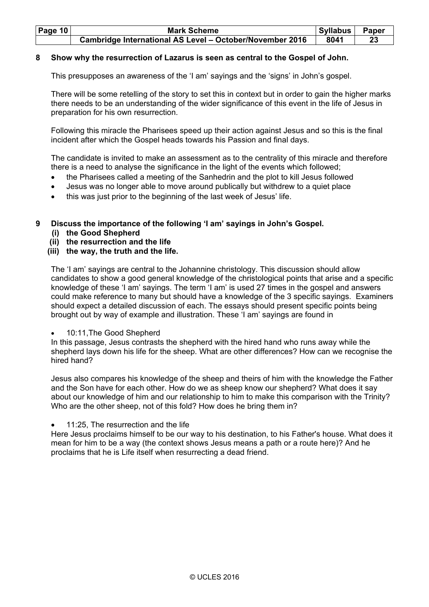| <b>Page 10</b> | <b>Mark Scheme</b>                                              | Syllabus | <b>Paper</b> |
|----------------|-----------------------------------------------------------------|----------|--------------|
|                | <b>Cambridge International AS Level - October/November 2016</b> | 8041     |              |

# **8 Show why the resurrection of Lazarus is seen as central to the Gospel of John.**

This presupposes an awareness of the 'I am' sayings and the 'signs' in John's gospel.

 There will be some retelling of the story to set this in context but in order to gain the higher marks there needs to be an understanding of the wider significance of this event in the life of Jesus in preparation for his own resurrection.

 Following this miracle the Pharisees speed up their action against Jesus and so this is the final incident after which the Gospel heads towards his Passion and final days.

 The candidate is invited to make an assessment as to the centrality of this miracle and therefore there is a need to analyse the significance in the light of the events which followed;

- the Pharisees called a meeting of the Sanhedrin and the plot to kill Jesus followed
- Jesus was no longer able to move around publically but withdrew to a quiet place
- this was just prior to the beginning of the last week of Jesus' life.

# **9 Discuss the importance of the following 'I am' sayings in John's Gospel.**

- **(i) the Good Shepherd**
- **(ii) the resurrection and the life**

# **(iii) the way, the truth and the life.**

 The 'I am' sayings are central to the Johannine christology. This discussion should allow candidates to show a good general knowledge of the christological points that arise and a specific knowledge of these 'I am' sayings. The term 'I am' is used 27 times in the gospel and answers could make reference to many but should have a knowledge of the 3 specific sayings. Examiners should expect a detailed discussion of each. The essays should present specific points being brought out by way of example and illustration. These 'I am' sayings are found in

# • 10:11,The Good Shepherd

 In this passage, Jesus contrasts the shepherd with the hired hand who runs away while the shepherd lays down his life for the sheep. What are other differences? How can we recognise the hired hand?

 Jesus also compares his knowledge of the sheep and theirs of him with the knowledge the Father and the Son have for each other. How do we as sheep know our shepherd? What does it say about our knowledge of him and our relationship to him to make this comparison with the Trinity? Who are the other sheep, not of this fold? How does he bring them in?

11:25. The resurrection and the life

 Here Jesus proclaims himself to be our way to his destination, to his Father's house. What does it mean for him to be a way (the context shows Jesus means a path or a route here)? And he proclaims that he is Life itself when resurrecting a dead friend.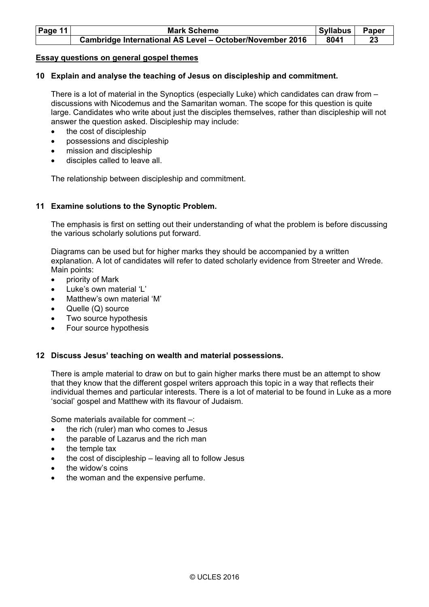| Page 11 | <b>Mark Scheme</b>                                              | <b>Syllabus</b> | <b>Paper</b> |
|---------|-----------------------------------------------------------------|-----------------|--------------|
|         | <b>Cambridge International AS Level - October/November 2016</b> | 8041            |              |

#### **Essay questions on general gospel themes**

### **10 Explain and analyse the teaching of Jesus on discipleship and commitment.**

 There is a lot of material in the Synoptics (especially Luke) which candidates can draw from – discussions with Nicodemus and the Samaritan woman. The scope for this question is quite large. Candidates who write about just the disciples themselves, rather than discipleship will not answer the question asked. Discipleship may include:

- the cost of discipleship
- possessions and discipleship
- mission and discipleship
- disciples called to leave all.

The relationship between discipleship and commitment.

### **11 Examine solutions to the Synoptic Problem.**

The emphasis is first on setting out their understanding of what the problem is before discussing the various scholarly solutions put forward.

Diagrams can be used but for higher marks they should be accompanied by a written explanation. A lot of candidates will refer to dated scholarly evidence from Streeter and Wrede. Main points:

- priority of Mark
- Luke's own material 'L'
- Matthew's own material 'M'
- Quelle (Q) source
- Two source hypothesis
- Four source hypothesis

#### **12 Discuss Jesus' teaching on wealth and material possessions.**

 There is ample material to draw on but to gain higher marks there must be an attempt to show that they know that the different gospel writers approach this topic in a way that reflects their individual themes and particular interests. There is a lot of material to be found in Luke as a more 'social' gospel and Matthew with its flavour of Judaism.

Some materials available for comment –:

- the rich (ruler) man who comes to Jesus
- the parable of Lazarus and the rich man
- the temple tax
- the cost of discipleship leaving all to follow Jesus
- the widow's coins
- the woman and the expensive perfume.